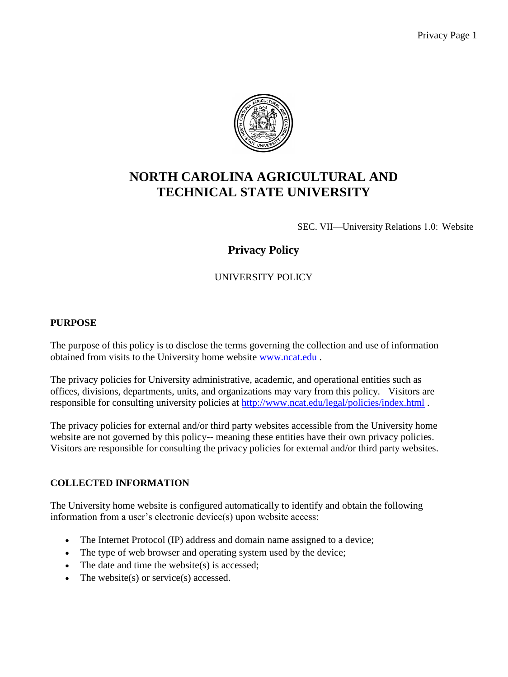

# **NORTH CAROLINA AGRICULTURAL AND TECHNICAL STATE UNIVERSITY**

SEC. VII—University Relations 1.0: Website

# **Privacy Policy**

# UNIVERSITY POLICY

#### **PURPOSE**

The purpose of this policy is to disclose the terms governing the collection and use of information obtained from visits to the University home website [www.ncat.edu](http://www.ncat.edu/) .

The privacy policies for University administrative, academic, and operational entities such as offices, divisions, departments, units, and organizations may vary from this policy. Visitors are responsible for consulting university policies at<http://www.ncat.edu/legal/policies/index.html>.

The privacy policies for external and/or third party websites accessible from the University home website are not governed by this policy-- meaning these entities have their own privacy policies. Visitors are responsible for consulting the privacy policies for external and/or third party websites.

## **COLLECTED INFORMATION**

The University home website is configured automatically to identify and obtain the following information from a user's electronic device(s) upon website access:

- The Internet Protocol (IP) address and domain name assigned to a device;
- The type of web browser and operating system used by the device;
- The date and time the website(s) is accessed;
- The website(s) or service(s) accessed.